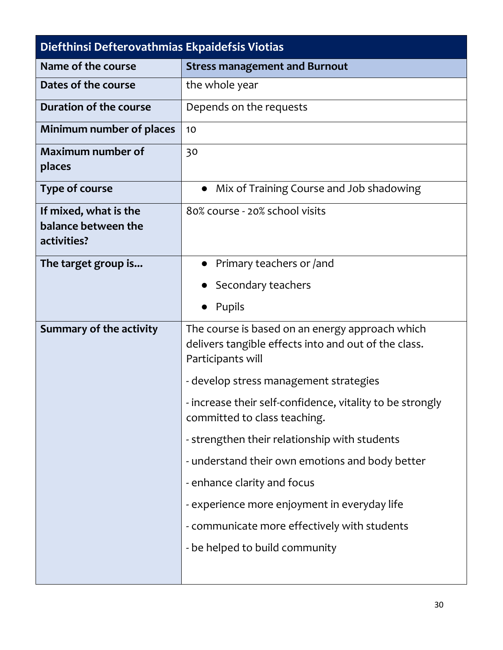| Diefthinsi Defterovathmias Ekpaidefsis Viotias              |                                                                                                                              |  |
|-------------------------------------------------------------|------------------------------------------------------------------------------------------------------------------------------|--|
| Name of the course                                          | <b>Stress management and Burnout</b>                                                                                         |  |
| Dates of the course                                         | the whole year                                                                                                               |  |
| Duration of the course                                      | Depends on the requests                                                                                                      |  |
| Minimum number of places                                    | 10                                                                                                                           |  |
| <b>Maximum number of</b><br>places                          | 30                                                                                                                           |  |
| <b>Type of course</b>                                       | Mix of Training Course and Job shadowing<br>$\bullet$                                                                        |  |
| If mixed, what is the<br>balance between the<br>activities? | 80% course - 20% school visits                                                                                               |  |
| The target group is                                         | Primary teachers or /and                                                                                                     |  |
|                                                             | Secondary teachers                                                                                                           |  |
|                                                             | Pupils                                                                                                                       |  |
| Summary of the activity                                     | The course is based on an energy approach which<br>delivers tangible effects into and out of the class.<br>Participants will |  |
|                                                             | - develop stress management strategies                                                                                       |  |
|                                                             | - increase their self-confidence, vitality to be strongly<br>committed to class teaching.                                    |  |
|                                                             | - strengthen their relationship with students                                                                                |  |
|                                                             | - understand their own emotions and body better                                                                              |  |
|                                                             | - enhance clarity and focus                                                                                                  |  |
|                                                             | - experience more enjoyment in everyday life                                                                                 |  |
|                                                             | - communicate more effectively with students                                                                                 |  |
|                                                             | - be helped to build community                                                                                               |  |
|                                                             |                                                                                                                              |  |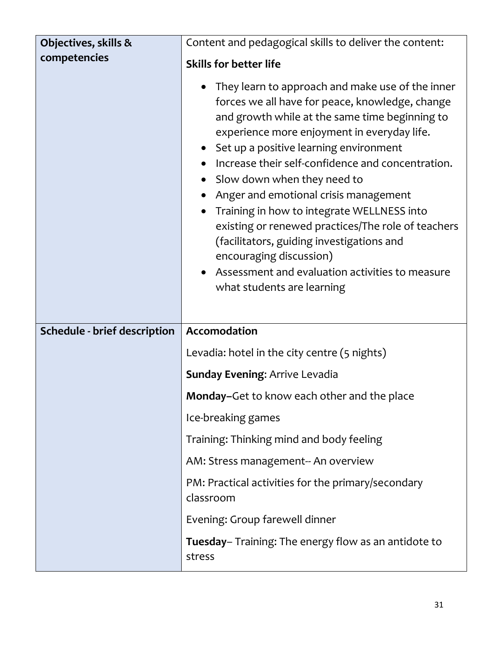| Objectives, skills &                | Content and pedagogical skills to deliver the content:                                                                                                                                                                                                                                                                                                                                                                                                                                                                                                                                                                                                |
|-------------------------------------|-------------------------------------------------------------------------------------------------------------------------------------------------------------------------------------------------------------------------------------------------------------------------------------------------------------------------------------------------------------------------------------------------------------------------------------------------------------------------------------------------------------------------------------------------------------------------------------------------------------------------------------------------------|
| competencies                        | <b>Skills for better life</b>                                                                                                                                                                                                                                                                                                                                                                                                                                                                                                                                                                                                                         |
|                                     | They learn to approach and make use of the inner<br>forces we all have for peace, knowledge, change<br>and growth while at the same time beginning to<br>experience more enjoyment in everyday life.<br>Set up a positive learning environment<br>Increase their self-confidence and concentration.<br>Slow down when they need to<br>$\bullet$<br>Anger and emotional crisis management<br>Training in how to integrate WELLNESS into<br>existing or renewed practices/The role of teachers<br>(facilitators, guiding investigations and<br>encouraging discussion)<br>Assessment and evaluation activities to measure<br>what students are learning |
| <b>Schedule - brief description</b> | Accomodation                                                                                                                                                                                                                                                                                                                                                                                                                                                                                                                                                                                                                                          |
|                                     | Levadia: hotel in the city centre (5 nights)                                                                                                                                                                                                                                                                                                                                                                                                                                                                                                                                                                                                          |
|                                     | <b>Sunday Evening: Arrive Levadia</b>                                                                                                                                                                                                                                                                                                                                                                                                                                                                                                                                                                                                                 |
|                                     | Monday-Get to know each other and the place                                                                                                                                                                                                                                                                                                                                                                                                                                                                                                                                                                                                           |
|                                     | Ice-breaking games                                                                                                                                                                                                                                                                                                                                                                                                                                                                                                                                                                                                                                    |
|                                     | Training: Thinking mind and body feeling                                                                                                                                                                                                                                                                                                                                                                                                                                                                                                                                                                                                              |
|                                     | AM: Stress management-- An overview                                                                                                                                                                                                                                                                                                                                                                                                                                                                                                                                                                                                                   |
|                                     | PM: Practical activities for the primary/secondary<br>classroom                                                                                                                                                                                                                                                                                                                                                                                                                                                                                                                                                                                       |
|                                     | Evening: Group farewell dinner                                                                                                                                                                                                                                                                                                                                                                                                                                                                                                                                                                                                                        |
|                                     | <b>Tuesday</b> – Training: The energy flow as an antidote to<br>stress                                                                                                                                                                                                                                                                                                                                                                                                                                                                                                                                                                                |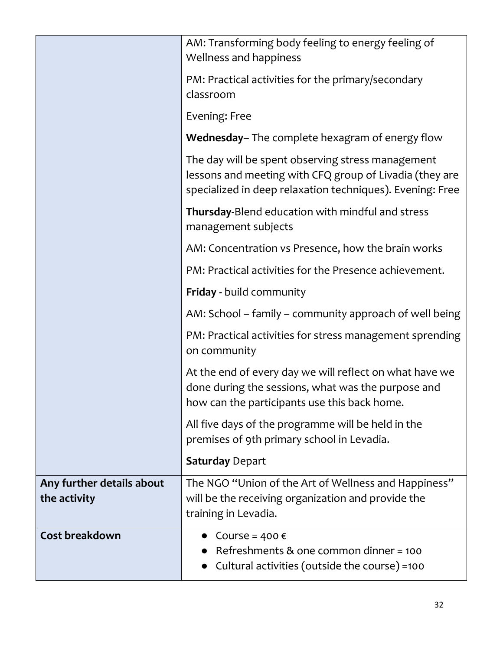|                                           | AM: Transforming body feeling to energy feeling of<br>Wellness and happiness                                                                                              |
|-------------------------------------------|---------------------------------------------------------------------------------------------------------------------------------------------------------------------------|
|                                           | PM: Practical activities for the primary/secondary<br>classroom                                                                                                           |
|                                           | Evening: Free                                                                                                                                                             |
|                                           | Wednesday-The complete hexagram of energy flow                                                                                                                            |
|                                           | The day will be spent observing stress management<br>lessons and meeting with CFQ group of Livadia (they are<br>specialized in deep relaxation techniques). Evening: Free |
|                                           | Thursday-Blend education with mindful and stress<br>management subjects                                                                                                   |
|                                           | AM: Concentration vs Presence, how the brain works                                                                                                                        |
|                                           | PM: Practical activities for the Presence achievement.                                                                                                                    |
|                                           | <b>Friday - build community</b>                                                                                                                                           |
|                                           | AM: School – family – community approach of well being                                                                                                                    |
|                                           | PM: Practical activities for stress management sprending<br>on community                                                                                                  |
|                                           | At the end of every day we will reflect on what have we<br>done during the sessions, what was the purpose and<br>how can the participants use this back home.             |
|                                           | All five days of the programme will be held in the<br>premises of 9th primary school in Levadia.                                                                          |
|                                           | <b>Saturday Depart</b>                                                                                                                                                    |
| Any further details about<br>the activity | The NGO "Union of the Art of Wellness and Happiness"<br>will be the receiving organization and provide the<br>training in Levadia.                                        |
| Cost breakdown                            | Course = $400 \text{ } \in$<br>Refreshments & one common dinner = 100<br>Cultural activities (outside the course) =100                                                    |